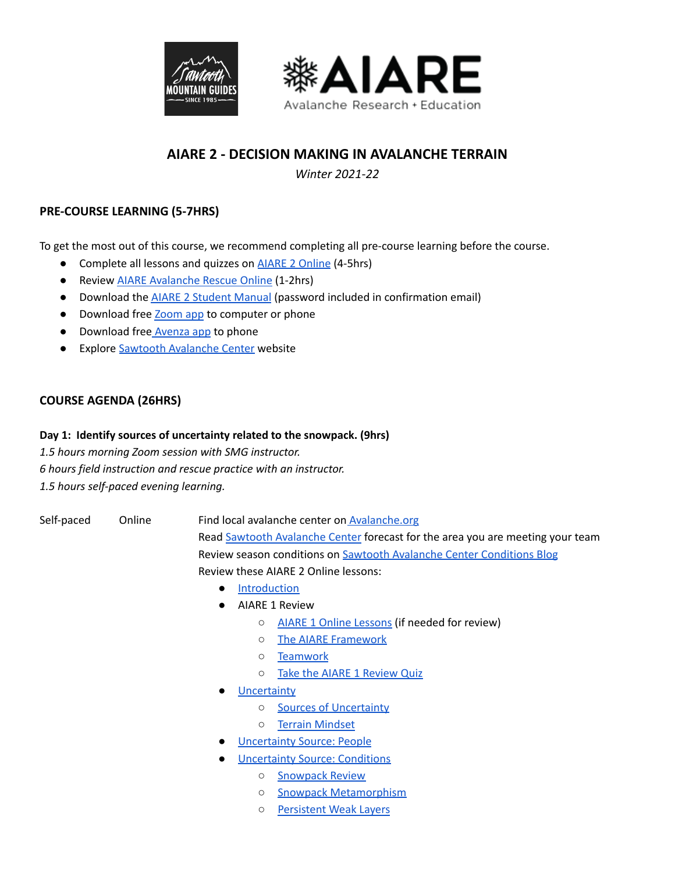



# **AIARE 2 - DECISION MAKING IN AVALANCHE TERRAIN**

*Winter 2021-22*

## **PRE-COURSE LEARNING (5-7HRS)**

To get the most out of this course, we recommend completing all pre-course learning before the course.

- Complete all lessons and quizzes on **AIARE 2 [Online](https://sites.google.com/avtraining.org/aiare-2-online/introduction)** (4-5hrs)
- Review AIARE [Avalanche](http://bit.ly/AIARErescue) Rescue Online (1-2hrs)
- Download the AIARE 2 [Student](https://sawtoothguides.com/?download=%2020436) Manual (password included in confirmation email)
- Download free [Zoom](https://zoom.us/download) app to computer or phone
- Download free [Avenza](https://www.avenza.com/avenza-maps/) app to phone
- Explore Sawtooth [Avalanche](https://www.sawtoothavalanche.com/) Center website

### **COURSE AGENDA (26HRS)**

#### **Day 1: Identify sources of uncertainty related to the snowpack. (9hrs)**

*1.5 hours morning Zoom session with SMG instructor. 6 hours field instruction and rescue practice with an instructor. 1.5 hours self-paced evening learning.*

Self-paced Online Find local avalanche center on [Avalanche.org](https://avalanche.org/) Read Sawtooth [Avalanche](https://www.sawtoothavalanche.com/) Center forecast for the area you are meeting your team Review season conditions on Sawtooth Avalanche Center [Conditions](https://www.sawtoothavalanche.com/forecasts/#/archive/blog/) Blog Review these AIARE 2 Online lessons:

- [Introduction](https://sites.google.com/avtraining.org/aiare-2-online/introduction?authuser=0)
- AIARE 1 Review
	- AIARE 1 Online [Lessons](https://sites.google.com/avtraining.org/2020-21-aiare1online/introduction?authuser=0) (if needed for review)
	- The AIARE [Framework](https://sites.google.com/avtraining.org/aiare-2-online/aiare-1-review/the-aiare-framework?authuser=0)
	- [Teamwork](https://sites.google.com/avtraining.org/aiare-2-online/aiare-1-review/teamwork?authuser=0)
	- Take the AIARE 1 [Review](https://sites.google.com/avtraining.org/aiare-2-online/aiare-1-review?authuser=0) Quiz
- **[Uncertainty](https://sites.google.com/avtraining.org/aiare-2-online/uncertainty?authuser=0)** 
	- Sources of [Uncertainty](https://sites.google.com/avtraining.org/aiare-2-online/uncertainty/sources-of-uncertainty?authuser=0)
	- Terrain [Mindset](https://sites.google.com/avtraining.org/aiare-2-online/uncertainty/terrain-mindset?authuser=0)
	- **[Uncertainty](https://sites.google.com/avtraining.org/aiare-2-online/uncertainty-source-people?authuser=0) Source: People**
- **[Uncertainty](https://sites.google.com/avtraining.org/aiare-2-online/uncertainty-source-conditions?authuser=0) Source: Conditions** 
	- o [Snowpack](https://sites.google.com/avtraining.org/aiare-2-online/uncertainty-source-conditions/snowpack-review?authuser=0) Review
	- Snowpack [Metamorphism](https://sites.google.com/avtraining.org/aiare-2-online/uncertainty-source-conditions/snowpack-metamorphism?authuser=0)
	- [Persistent](https://sites.google.com/avtraining.org/aiare-2-online/uncertainty-source-conditions/persistent-weak-layers?authuser=0) Weak Layers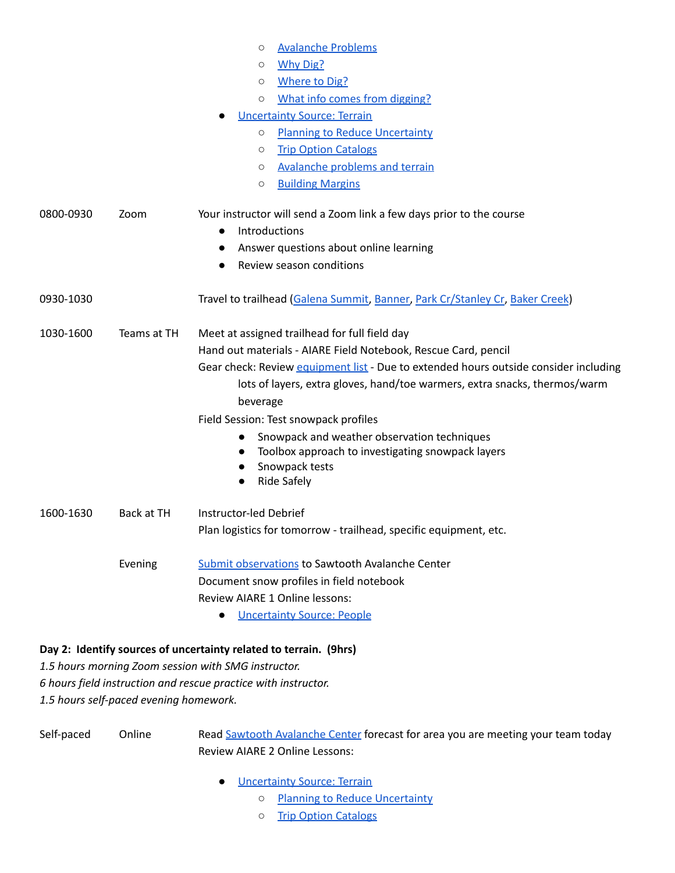|           |             | <b>Avalanche Problems</b><br>О                                                       |
|-----------|-------------|--------------------------------------------------------------------------------------|
|           |             | Why Dig?<br>О                                                                        |
|           |             | <b>Where to Dig?</b><br>О                                                            |
|           |             | What info comes from digging?<br>$\circ$                                             |
|           |             | <b>Uncertainty Source: Terrain</b>                                                   |
|           |             | <b>Planning to Reduce Uncertainty</b><br>$\circ$                                     |
|           |             | <b>Trip Option Catalogs</b><br>$\circ$                                               |
|           |             | Avalanche problems and terrain<br>$\circ$                                            |
|           |             | <b>Building Margins</b><br>O                                                         |
| 0800-0930 | Zoom        | Your instructor will send a Zoom link a few days prior to the course                 |
|           |             | Introductions<br>$\bullet$                                                           |
|           |             | Answer questions about online learning<br>$\bullet$                                  |
|           |             | Review season conditions<br>$\bullet$                                                |
| 0930-1030 |             | Travel to trailhead (Galena Summit, Banner, Park Cr/Stanley Cr, Baker Creek)         |
| 1030-1600 | Teams at TH | Meet at assigned trailhead for full field day                                        |
|           |             | Hand out materials - AIARE Field Notebook, Rescue Card, pencil                       |
|           |             | Gear check: Review equipment list - Due to extended hours outside consider including |
|           |             | lots of layers, extra gloves, hand/toe warmers, extra snacks, thermos/warm           |
|           |             | beverage                                                                             |
|           |             | Field Session: Test snowpack profiles                                                |
|           |             | Snowpack and weather observation techniques                                          |
|           |             | Toolbox approach to investigating snowpack layers                                    |
|           |             | Snowpack tests                                                                       |
|           |             | <b>Ride Safely</b>                                                                   |
| 1600-1630 | Back at TH  | Instructor-led Debrief                                                               |
|           |             | Plan logistics for tomorrow - trailhead, specific equipment, etc.                    |
|           | Evening     | <b>Submit observations to Sawtooth Avalanche Center</b>                              |
|           |             | Document snow profiles in field notebook                                             |
|           |             | Review AIARE 1 Online lessons:                                                       |
|           |             | <b>Uncertainty Source: People</b>                                                    |
|           |             | Day 2: Identify sources of uncertainty related to terrain. (9hrs)                    |
|           |             | 1.5 hours morning Zoom session with SMG instructor.                                  |
|           |             |                                                                                      |

*6 hours field instruction and rescue practice with instructor.*

*1.5 hours self-paced evening homework.*

Self-paced Online Read Sawtooth [Avalanche](https://www.sawtoothavalanche.com/) Center forecast for area you are meeting your team today Review AIARE 2 Online Lessons:

- [Uncertainty](https://sites.google.com/avtraining.org/aiare-2-online/uncertainty-source-terrain?authuser=0) Source: Terrain
	- Planning to Reduce [Uncertainty](https://sites.google.com/avtraining.org/aiare-2-online/uncertainty-source-terrain/planning-to-reduce-uncertainty?authuser=0)
	- Trip Option [Catalogs](https://sites.google.com/avtraining.org/aiare-2-online/uncertainty-source-terrain/trip-option-catalogs?authuser=0)